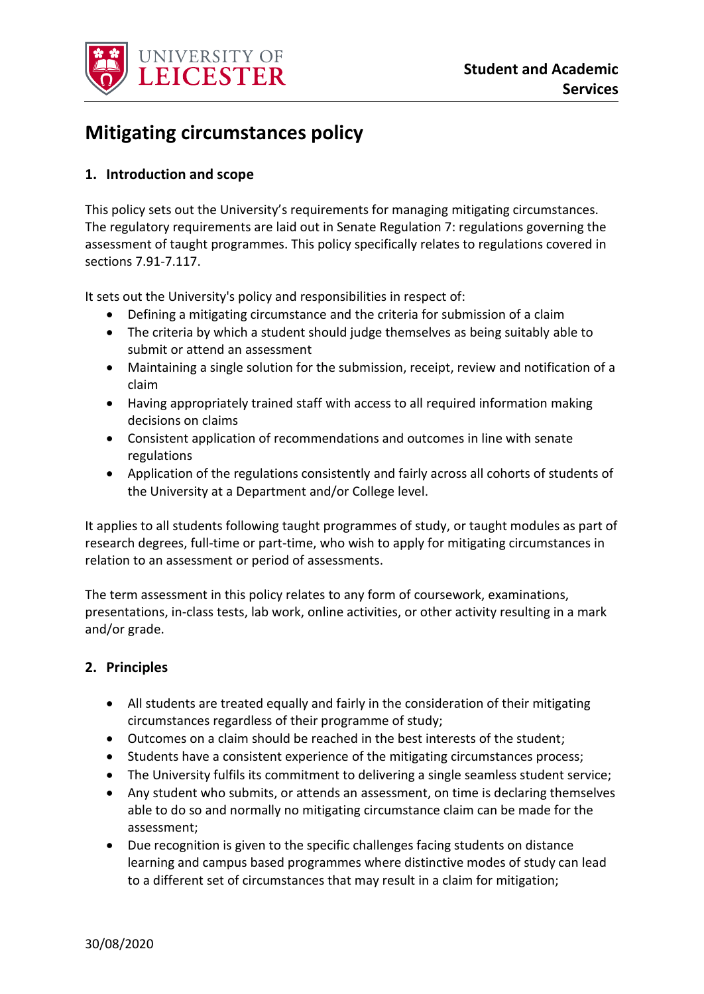

# **Mitigating circumstances policy**

## **1. Introduction and scope**

This policy sets out the University's requirements for managing mitigating circumstances. The regulatory requirements are laid out in Senate Regulation 7: regulations governing the assessment of taught programmes. This policy specifically relates to regulations covered in sections 7.91-7.117.

It sets out the University's policy and responsibilities in respect of:

- Defining a mitigating circumstance and the criteria for submission of a claim
- The criteria by which a student should judge themselves as being suitably able to submit or attend an assessment
- Maintaining a single solution for the submission, receipt, review and notification of a claim
- Having appropriately trained staff with access to all required information making decisions on claims
- Consistent application of recommendations and outcomes in line with senate regulations
- Application of the regulations consistently and fairly across all cohorts of students of the University at a Department and/or College level.

It applies to all students following taught programmes of study, or taught modules as part of research degrees, full-time or part-time, who wish to apply for mitigating circumstances in relation to an assessment or period of assessments.

The term assessment in this policy relates to any form of coursework, examinations, presentations, in-class tests, lab work, online activities, or other activity resulting in a mark and/or grade.

#### **2. Principles**

- All students are treated equally and fairly in the consideration of their mitigating circumstances regardless of their programme of study;
- Outcomes on a claim should be reached in the best interests of the student;
- Students have a consistent experience of the mitigating circumstances process;
- The University fulfils its commitment to delivering a single seamless student service;
- Any student who submits, or attends an assessment, on time is declaring themselves able to do so and normally no mitigating circumstance claim can be made for the assessment;
- Due recognition is given to the specific challenges facing students on distance learning and campus based programmes where distinctive modes of study can lead to a different set of circumstances that may result in a claim for mitigation;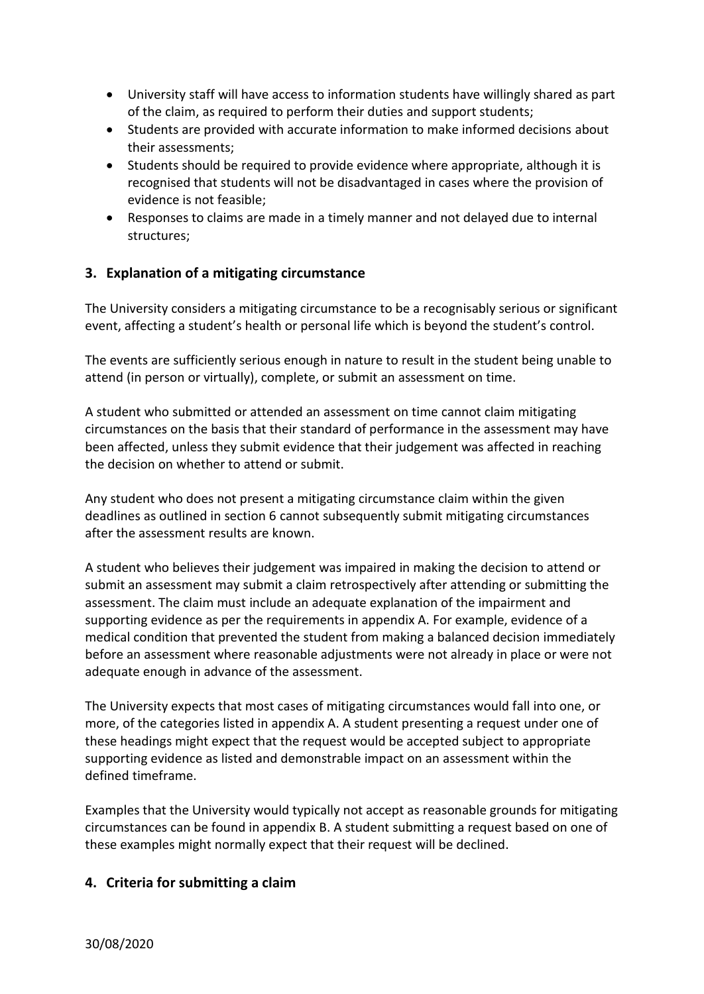- University staff will have access to information students have willingly shared as part of the claim, as required to perform their duties and support students;
- Students are provided with accurate information to make informed decisions about their assessments;
- Students should be required to provide evidence where appropriate, although it is recognised that students will not be disadvantaged in cases where the provision of evidence is not feasible;
- Responses to claims are made in a timely manner and not delayed due to internal structures;

### **3. Explanation of a mitigating circumstance**

The University considers a mitigating circumstance to be a recognisably serious or significant event, affecting a student's health or personal life which is beyond the student's control.

The events are sufficiently serious enough in nature to result in the student being unable to attend (in person or virtually), complete, or submit an assessment on time.

A student who submitted or attended an assessment on time cannot claim mitigating circumstances on the basis that their standard of performance in the assessment may have been affected, unless they submit evidence that their judgement was affected in reaching the decision on whether to attend or submit.

Any student who does not present a mitigating circumstance claim within the given deadlines as outlined in section 6 cannot subsequently submit mitigating circumstances after the assessment results are known.

A student who believes their judgement was impaired in making the decision to attend or submit an assessment may submit a claim retrospectively after attending or submitting the assessment. The claim must include an adequate explanation of the impairment and supporting evidence as per the requirements in appendix A. For example, evidence of a medical condition that prevented the student from making a balanced decision immediately before an assessment where reasonable adjustments were not already in place or were not adequate enough in advance of the assessment.

The University expects that most cases of mitigating circumstances would fall into one, or more, of the categories listed in appendix A. A student presenting a request under one of these headings might expect that the request would be accepted subject to appropriate supporting evidence as listed and demonstrable impact on an assessment within the defined timeframe.

Examples that the University would typically not accept as reasonable grounds for mitigating circumstances can be found in appendix B. A student submitting a request based on one of these examples might normally expect that their request will be declined.

#### **4. Criteria for submitting a claim**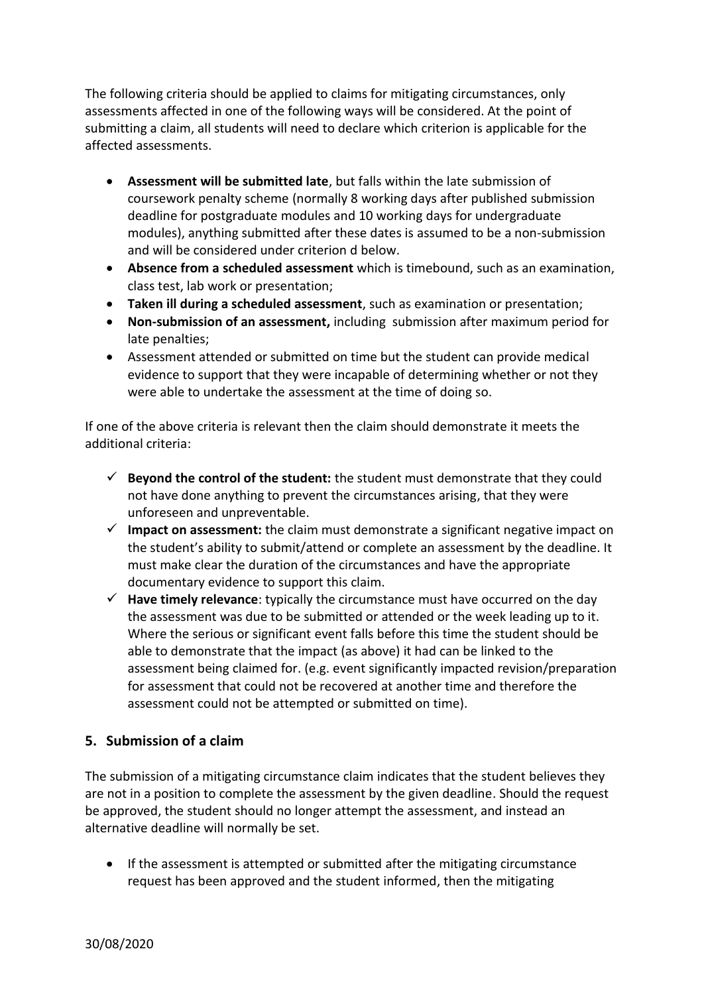The following criteria should be applied to claims for mitigating circumstances, only assessments affected in one of the following ways will be considered. At the point of submitting a claim, all students will need to declare which criterion is applicable for the affected assessments.

- **Assessment will be submitted late**, but falls within the late submission of coursework penalty scheme (normally 8 working days after published submission deadline for postgraduate modules and 10 working days for undergraduate modules), anything submitted after these dates is assumed to be a non-submission and will be considered under criterion d below.
- **Absence from a scheduled assessment** which is timebound, such as an examination, class test, lab work or presentation;
- **Taken ill during a scheduled assessment**, such as examination or presentation;
- **Non-submission of an assessment,** including submission after maximum period for late penalties;
- Assessment attended or submitted on time but the student can provide medical evidence to support that they were incapable of determining whether or not they were able to undertake the assessment at the time of doing so.

If one of the above criteria is relevant then the claim should demonstrate it meets the additional criteria:

- $\checkmark$  Beyond the control of the student: the student must demonstrate that they could not have done anything to prevent the circumstances arising, that they were unforeseen and unpreventable.
- **Impact on assessment:** the claim must demonstrate a significant negative impact on the student's ability to submit/attend or complete an assessment by the deadline. It must make clear the duration of the circumstances and have the appropriate documentary evidence to support this claim.
- **Have timely relevance**: typically the circumstance must have occurred on the day the assessment was due to be submitted or attended or the week leading up to it. Where the serious or significant event falls before this time the student should be able to demonstrate that the impact (as above) it had can be linked to the assessment being claimed for. (e.g. event significantly impacted revision/preparation for assessment that could not be recovered at another time and therefore the assessment could not be attempted or submitted on time).

### **5. Submission of a claim**

The submission of a mitigating circumstance claim indicates that the student believes they are not in a position to complete the assessment by the given deadline. Should the request be approved, the student should no longer attempt the assessment, and instead an alternative deadline will normally be set.

 If the assessment is attempted or submitted after the mitigating circumstance request has been approved and the student informed, then the mitigating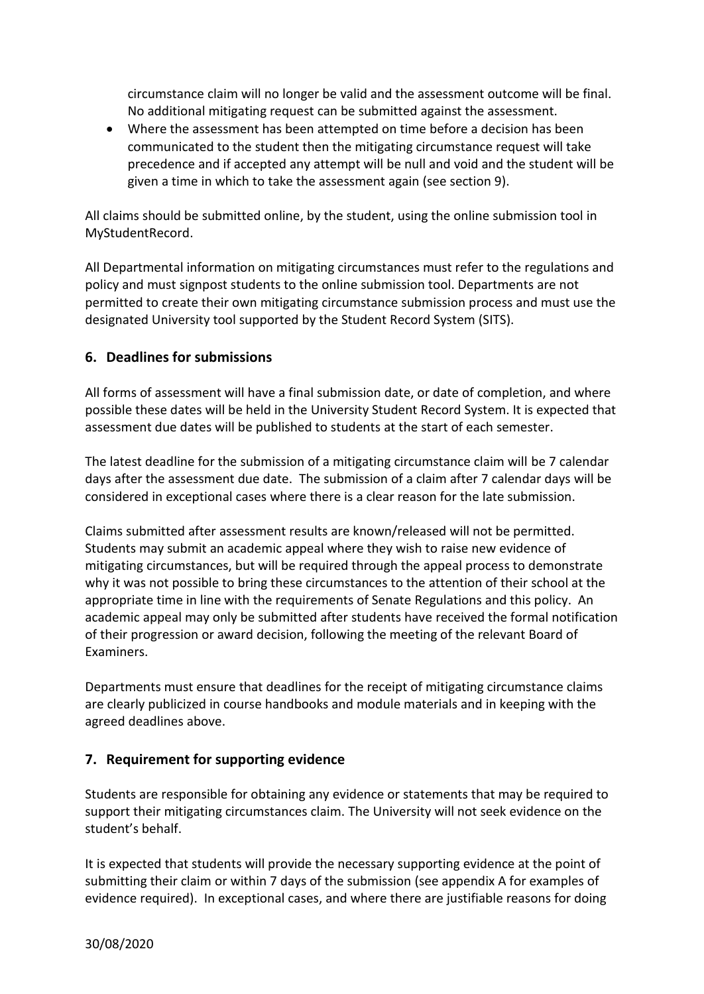circumstance claim will no longer be valid and the assessment outcome will be final. No additional mitigating request can be submitted against the assessment.

 Where the assessment has been attempted on time before a decision has been communicated to the student then the mitigating circumstance request will take precedence and if accepted any attempt will be null and void and the student will be given a time in which to take the assessment again (see section 9).

All claims should be submitted online, by the student, using the online submission tool in MyStudentRecord.

All Departmental information on mitigating circumstances must refer to the regulations and policy and must signpost students to the online submission tool. Departments are not permitted to create their own mitigating circumstance submission process and must use the designated University tool supported by the Student Record System (SITS).

### **6. Deadlines for submissions**

All forms of assessment will have a final submission date, or date of completion, and where possible these dates will be held in the University Student Record System. It is expected that assessment due dates will be published to students at the start of each semester.

The latest deadline for the submission of a mitigating circumstance claim will be 7 calendar days after the assessment due date. The submission of a claim after 7 calendar days will be considered in exceptional cases where there is a clear reason for the late submission.

Claims submitted after assessment results are known/released will not be permitted. Students may submit an academic appeal where they wish to raise new evidence of mitigating circumstances, but will be required through the appeal process to demonstrate why it was not possible to bring these circumstances to the attention of their school at the appropriate time in line with the requirements of Senate Regulations and this policy. An academic appeal may only be submitted after students have received the formal notification of their progression or award decision, following the meeting of the relevant Board of Examiners.

Departments must ensure that deadlines for the receipt of mitigating circumstance claims are clearly publicized in course handbooks and module materials and in keeping with the agreed deadlines above.

### **7. Requirement for supporting evidence**

Students are responsible for obtaining any evidence or statements that may be required to support their mitigating circumstances claim. The University will not seek evidence on the student's behalf.

It is expected that students will provide the necessary supporting evidence at the point of submitting their claim or within 7 days of the submission (see appendix A for examples of evidence required). In exceptional cases, and where there are justifiable reasons for doing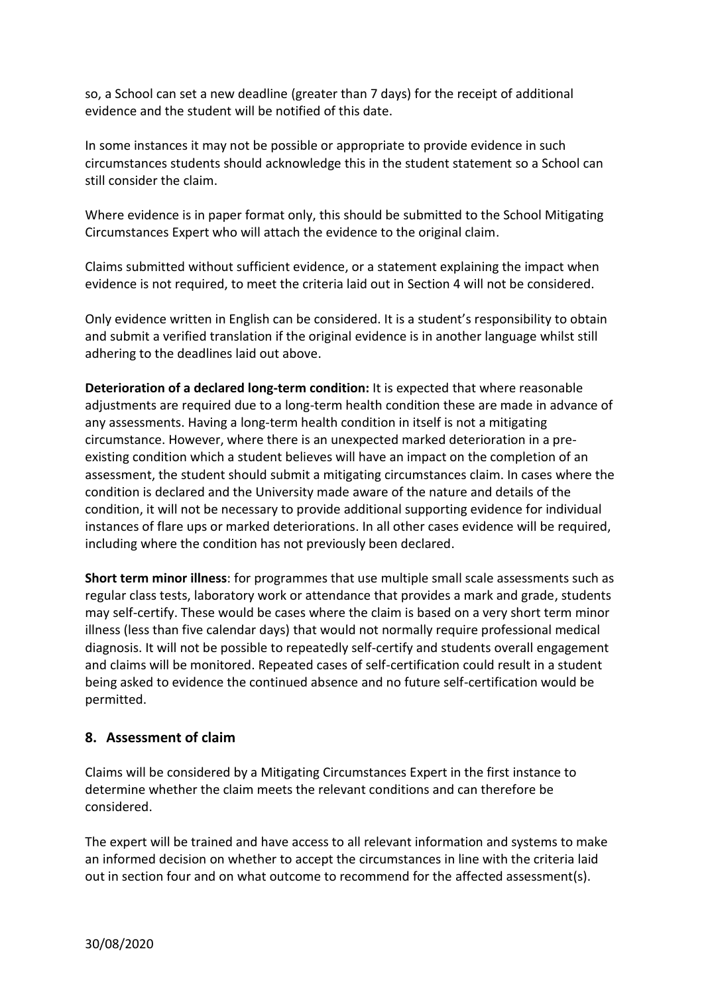so, a School can set a new deadline (greater than 7 days) for the receipt of additional evidence and the student will be notified of this date.

In some instances it may not be possible or appropriate to provide evidence in such circumstances students should acknowledge this in the student statement so a School can still consider the claim.

Where evidence is in paper format only, this should be submitted to the School Mitigating Circumstances Expert who will attach the evidence to the original claim.

Claims submitted without sufficient evidence, or a statement explaining the impact when evidence is not required, to meet the criteria laid out in Section 4 will not be considered.

Only evidence written in English can be considered. It is a student's responsibility to obtain and submit a verified translation if the original evidence is in another language whilst still adhering to the deadlines laid out above.

**Deterioration of a declared long-term condition:** It is expected that where reasonable adjustments are required due to a long-term health condition these are made in advance of any assessments. Having a long-term health condition in itself is not a mitigating circumstance. However, where there is an unexpected marked deterioration in a preexisting condition which a student believes will have an impact on the completion of an assessment, the student should submit a mitigating circumstances claim. In cases where the condition is declared and the University made aware of the nature and details of the condition, it will not be necessary to provide additional supporting evidence for individual instances of flare ups or marked deteriorations. In all other cases evidence will be required, including where the condition has not previously been declared.

**Short term minor illness**: for programmes that use multiple small scale assessments such as regular class tests, laboratory work or attendance that provides a mark and grade, students may self-certify. These would be cases where the claim is based on a very short term minor illness (less than five calendar days) that would not normally require professional medical diagnosis. It will not be possible to repeatedly self-certify and students overall engagement and claims will be monitored. Repeated cases of self-certification could result in a student being asked to evidence the continued absence and no future self-certification would be permitted.

### **8. Assessment of claim**

Claims will be considered by a Mitigating Circumstances Expert in the first instance to determine whether the claim meets the relevant conditions and can therefore be considered.

The expert will be trained and have access to all relevant information and systems to make an informed decision on whether to accept the circumstances in line with the criteria laid out in section four and on what outcome to recommend for the affected assessment(s).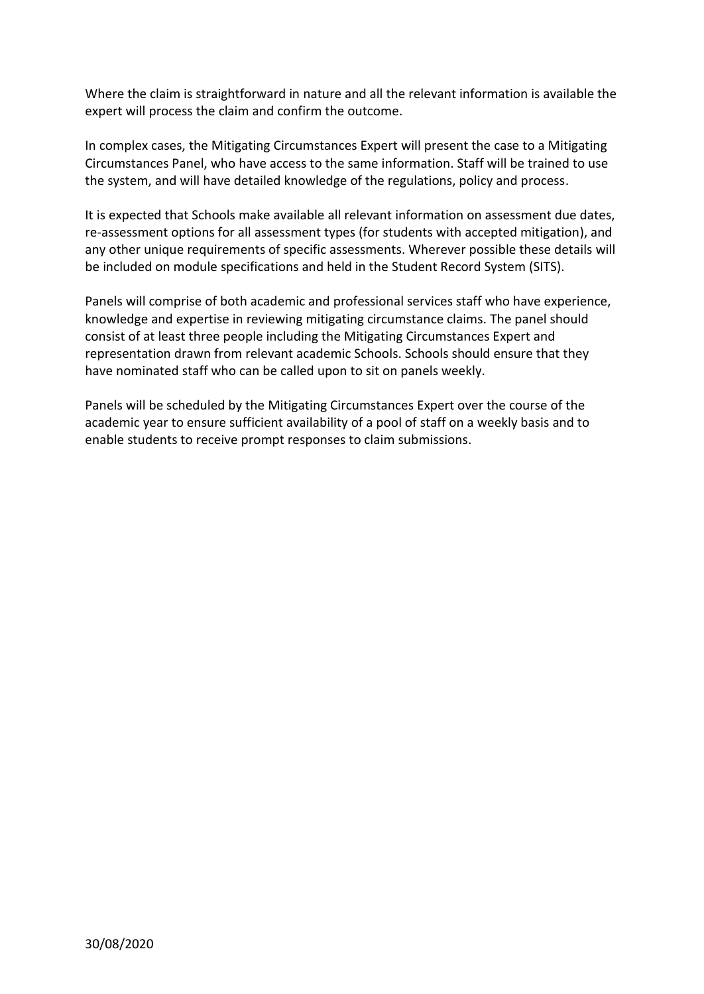Where the claim is straightforward in nature and all the relevant information is available the expert will process the claim and confirm the outcome.

In complex cases, the Mitigating Circumstances Expert will present the case to a Mitigating Circumstances Panel, who have access to the same information. Staff will be trained to use the system, and will have detailed knowledge of the regulations, policy and process.

It is expected that Schools make available all relevant information on assessment due dates, re-assessment options for all assessment types (for students with accepted mitigation), and any other unique requirements of specific assessments. Wherever possible these details will be included on module specifications and held in the Student Record System (SITS).

Panels will comprise of both academic and professional services staff who have experience, knowledge and expertise in reviewing mitigating circumstance claims. The panel should consist of at least three people including the Mitigating Circumstances Expert and representation drawn from relevant academic Schools. Schools should ensure that they have nominated staff who can be called upon to sit on panels weekly.

Panels will be scheduled by the Mitigating Circumstances Expert over the course of the academic year to ensure sufficient availability of a pool of staff on a weekly basis and to enable students to receive prompt responses to claim submissions.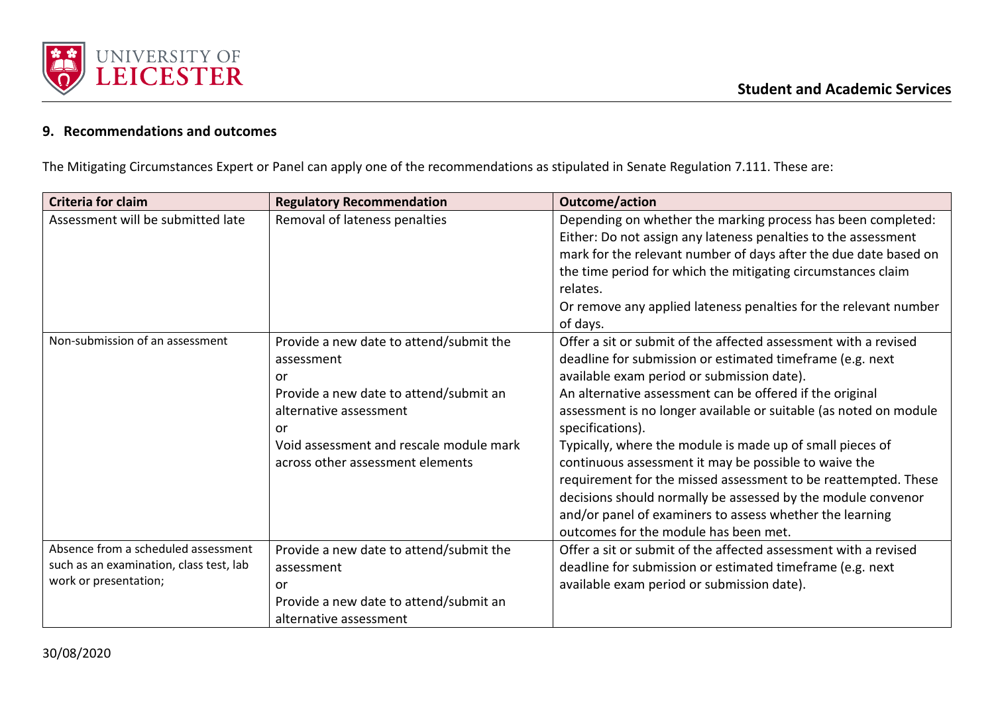

## **9. Recommendations and outcomes**

The Mitigating Circumstances Expert or Panel can apply one of the recommendations as stipulated in Senate Regulation 7.111. These are:

| <b>Criteria for claim</b>                                                                               | <b>Regulatory Recommendation</b>                                                                                                                                                                                     | Outcome/action                                                                                                                                                                                                                                                                                                                                                                                                                                                                                                                                                                                                                                                                               |
|---------------------------------------------------------------------------------------------------------|----------------------------------------------------------------------------------------------------------------------------------------------------------------------------------------------------------------------|----------------------------------------------------------------------------------------------------------------------------------------------------------------------------------------------------------------------------------------------------------------------------------------------------------------------------------------------------------------------------------------------------------------------------------------------------------------------------------------------------------------------------------------------------------------------------------------------------------------------------------------------------------------------------------------------|
| Assessment will be submitted late                                                                       | Removal of lateness penalties                                                                                                                                                                                        | Depending on whether the marking process has been completed:<br>Either: Do not assign any lateness penalties to the assessment<br>mark for the relevant number of days after the due date based on<br>the time period for which the mitigating circumstances claim<br>relates.<br>Or remove any applied lateness penalties for the relevant number<br>of days.                                                                                                                                                                                                                                                                                                                               |
| Non-submission of an assessment                                                                         | Provide a new date to attend/submit the<br>assessment<br>or<br>Provide a new date to attend/submit an<br>alternative assessment<br>or<br>Void assessment and rescale module mark<br>across other assessment elements | Offer a sit or submit of the affected assessment with a revised<br>deadline for submission or estimated timeframe (e.g. next<br>available exam period or submission date).<br>An alternative assessment can be offered if the original<br>assessment is no longer available or suitable (as noted on module<br>specifications).<br>Typically, where the module is made up of small pieces of<br>continuous assessment it may be possible to waive the<br>requirement for the missed assessment to be reattempted. These<br>decisions should normally be assessed by the module convenor<br>and/or panel of examiners to assess whether the learning<br>outcomes for the module has been met. |
| Absence from a scheduled assessment<br>such as an examination, class test, lab<br>work or presentation; | Provide a new date to attend/submit the<br>assessment<br>or<br>Provide a new date to attend/submit an<br>alternative assessment                                                                                      | Offer a sit or submit of the affected assessment with a revised<br>deadline for submission or estimated timeframe (e.g. next<br>available exam period or submission date).                                                                                                                                                                                                                                                                                                                                                                                                                                                                                                                   |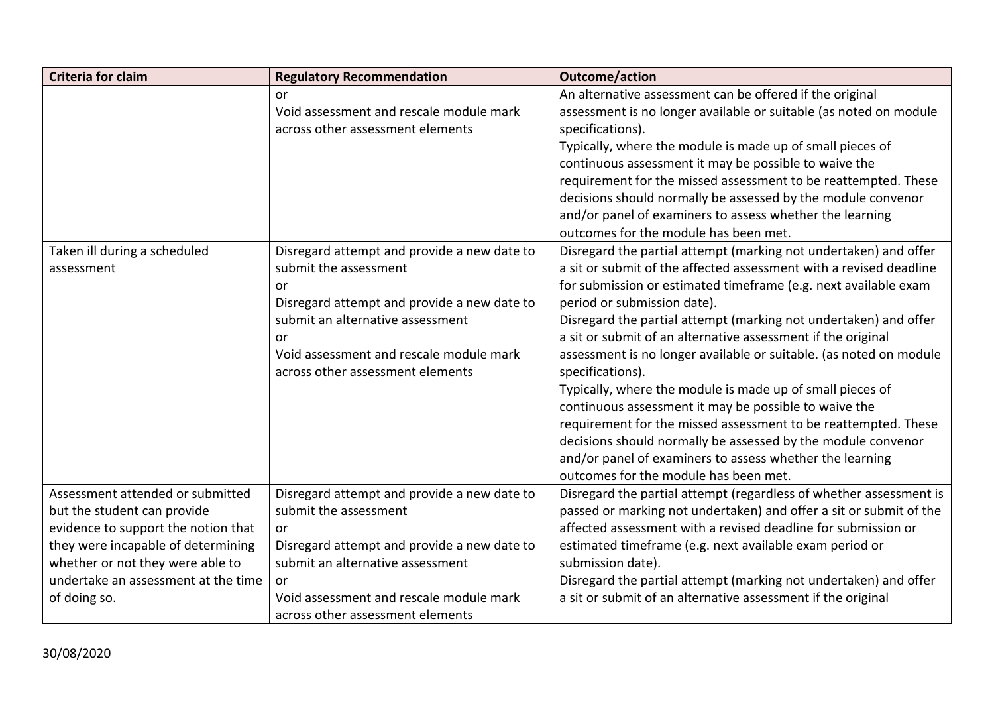| <b>Criteria for claim</b>           | <b>Regulatory Recommendation</b>            | <b>Outcome/action</b>                                              |
|-------------------------------------|---------------------------------------------|--------------------------------------------------------------------|
|                                     | or                                          | An alternative assessment can be offered if the original           |
|                                     | Void assessment and rescale module mark     | assessment is no longer available or suitable (as noted on module  |
|                                     | across other assessment elements            | specifications).                                                   |
|                                     |                                             | Typically, where the module is made up of small pieces of          |
|                                     |                                             | continuous assessment it may be possible to waive the              |
|                                     |                                             | requirement for the missed assessment to be reattempted. These     |
|                                     |                                             | decisions should normally be assessed by the module convenor       |
|                                     |                                             | and/or panel of examiners to assess whether the learning           |
|                                     |                                             | outcomes for the module has been met.                              |
| Taken ill during a scheduled        | Disregard attempt and provide a new date to | Disregard the partial attempt (marking not undertaken) and offer   |
| assessment                          | submit the assessment                       | a sit or submit of the affected assessment with a revised deadline |
|                                     | or                                          | for submission or estimated timeframe (e.g. next available exam    |
|                                     | Disregard attempt and provide a new date to | period or submission date).                                        |
|                                     | submit an alternative assessment            | Disregard the partial attempt (marking not undertaken) and offer   |
|                                     | or                                          | a sit or submit of an alternative assessment if the original       |
|                                     | Void assessment and rescale module mark     | assessment is no longer available or suitable. (as noted on module |
|                                     | across other assessment elements            | specifications).                                                   |
|                                     |                                             | Typically, where the module is made up of small pieces of          |
|                                     |                                             | continuous assessment it may be possible to waive the              |
|                                     |                                             | requirement for the missed assessment to be reattempted. These     |
|                                     |                                             | decisions should normally be assessed by the module convenor       |
|                                     |                                             | and/or panel of examiners to assess whether the learning           |
|                                     |                                             | outcomes for the module has been met.                              |
| Assessment attended or submitted    | Disregard attempt and provide a new date to | Disregard the partial attempt (regardless of whether assessment is |
| but the student can provide         | submit the assessment                       | passed or marking not undertaken) and offer a sit or submit of the |
| evidence to support the notion that | or                                          | affected assessment with a revised deadline for submission or      |
| they were incapable of determining  | Disregard attempt and provide a new date to | estimated timeframe (e.g. next available exam period or            |
| whether or not they were able to    | submit an alternative assessment            | submission date).                                                  |
| undertake an assessment at the time | or                                          | Disregard the partial attempt (marking not undertaken) and offer   |
| of doing so.                        | Void assessment and rescale module mark     | a sit or submit of an alternative assessment if the original       |
|                                     | across other assessment elements            |                                                                    |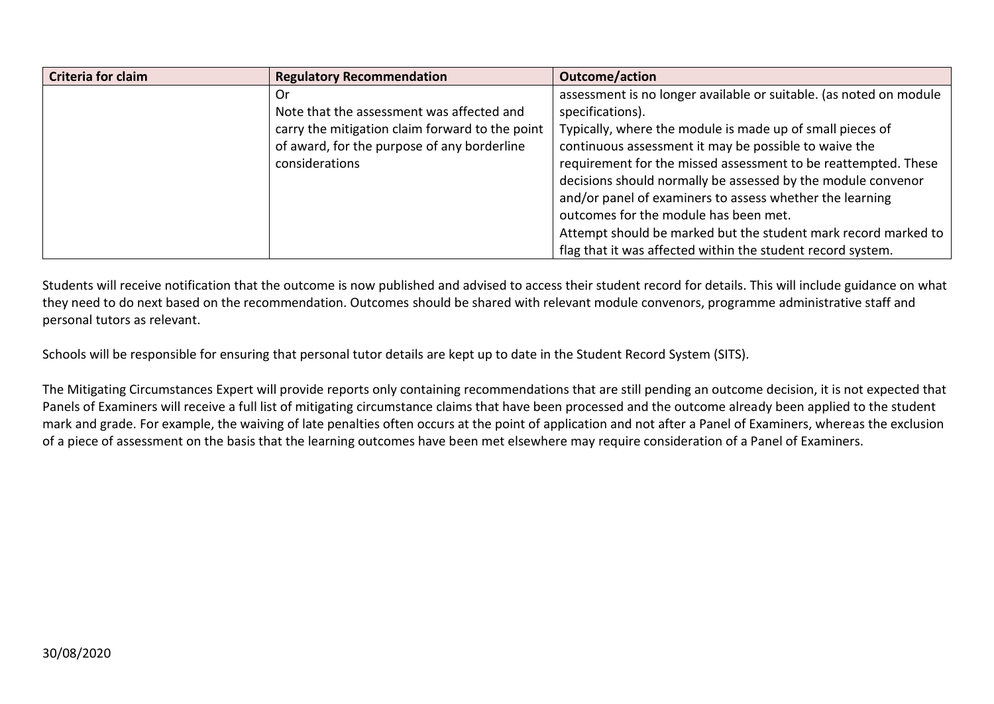| Criteria for claim | <b>Regulatory Recommendation</b>                | <b>Outcome/action</b>                                              |
|--------------------|-------------------------------------------------|--------------------------------------------------------------------|
|                    | . Or                                            | assessment is no longer available or suitable. (as noted on module |
|                    | Note that the assessment was affected and       | specifications).                                                   |
|                    | carry the mitigation claim forward to the point | Typically, where the module is made up of small pieces of          |
|                    | of award, for the purpose of any borderline     | continuous assessment it may be possible to waive the              |
|                    | considerations                                  | requirement for the missed assessment to be reattempted. These     |
|                    |                                                 | decisions should normally be assessed by the module convenor       |
|                    |                                                 | and/or panel of examiners to assess whether the learning           |
|                    |                                                 | outcomes for the module has been met.                              |
|                    |                                                 | Attempt should be marked but the student mark record marked to     |
|                    |                                                 | flag that it was affected within the student record system.        |

Students will receive notification that the outcome is now published and advised to access their student record for details. This will include guidance on what they need to do next based on the recommendation. Outcomes should be shared with relevant module convenors, programme administrative staff and personal tutors as relevant.

Schools will be responsible for ensuring that personal tutor details are kept up to date in the Student Record System (SITS).

The Mitigating Circumstances Expert will provide reports only containing recommendations that are still pending an outcome decision, it is not expected that Panels of Examiners will receive a full list of mitigating circumstance claims that have been processed and the outcome already been applied to the student mark and grade. For example, the waiving of late penalties often occurs at the point of application and not after a Panel of Examiners, whereas the exclusion of a piece of assessment on the basis that the learning outcomes have been met elsewhere may require consideration of a Panel of Examiners.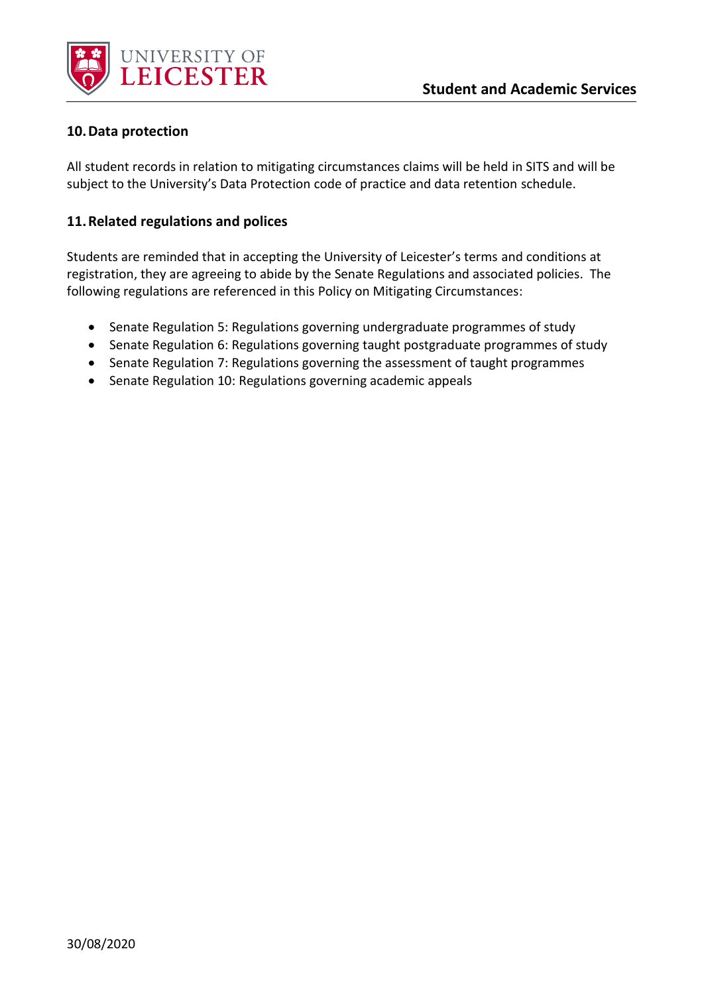

#### **10.Data protection**

All student records in relation to mitigating circumstances claims will be held in SITS and will be subject to the University's Data Protection code of practice and data retention schedule.

#### **11.Related regulations and polices**

Students are reminded that in accepting the University of Leicester's terms and conditions at registration, they are agreeing to abide by the Senate Regulations and associated policies. The following regulations are referenced in this Policy on Mitigating Circumstances:

- Senate Regulation 5: Regulations governing undergraduate programmes of study
- Senate Regulation 6: Regulations governing taught postgraduate programmes of study
- Senate Regulation 7: Regulations governing the assessment of taught programmes
- Senate Regulation 10: Regulations governing academic appeals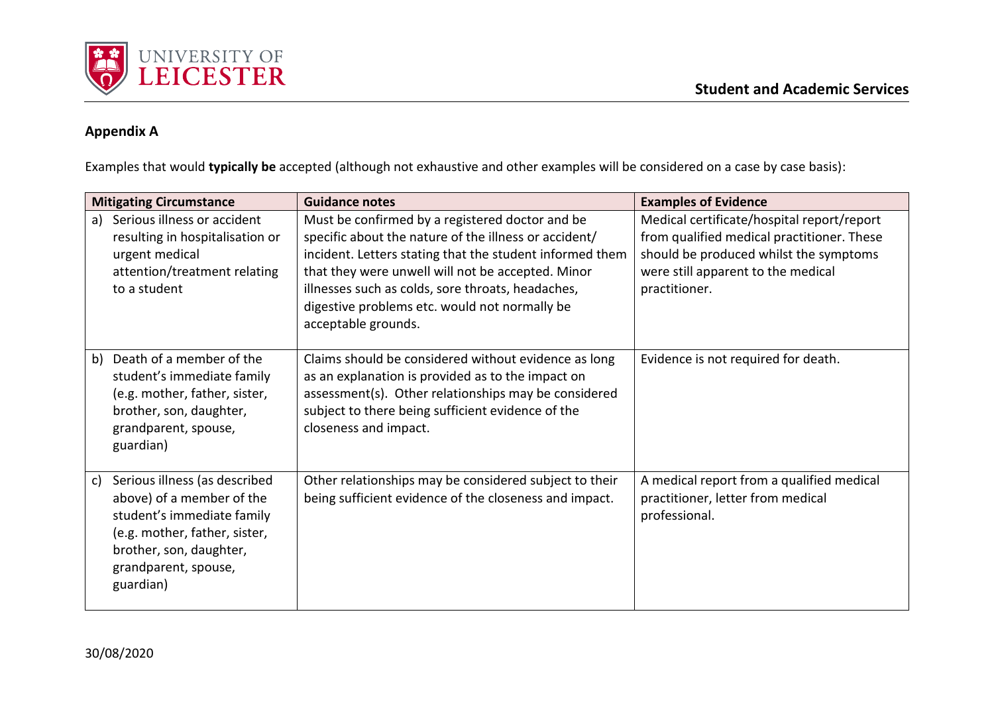

## **Appendix A**

Examples that would **typically be** accepted (although not exhaustive and other examples will be considered on a case by case basis):

| <b>Mitigating Circumstance</b> |                                                                                                                                                                                           | <b>Guidance notes</b>                                                                                                                                                                                                                                                                                                                                  | <b>Examples of Evidence</b>                                                                                                                                                               |  |
|--------------------------------|-------------------------------------------------------------------------------------------------------------------------------------------------------------------------------------------|--------------------------------------------------------------------------------------------------------------------------------------------------------------------------------------------------------------------------------------------------------------------------------------------------------------------------------------------------------|-------------------------------------------------------------------------------------------------------------------------------------------------------------------------------------------|--|
| a)                             | Serious illness or accident<br>resulting in hospitalisation or<br>urgent medical<br>attention/treatment relating<br>to a student                                                          | Must be confirmed by a registered doctor and be<br>specific about the nature of the illness or accident/<br>incident. Letters stating that the student informed them<br>that they were unwell will not be accepted. Minor<br>illnesses such as colds, sore throats, headaches,<br>digestive problems etc. would not normally be<br>acceptable grounds. | Medical certificate/hospital report/report<br>from qualified medical practitioner. These<br>should be produced whilst the symptoms<br>were still apparent to the medical<br>practitioner. |  |
| b)                             | Death of a member of the<br>student's immediate family<br>(e.g. mother, father, sister,<br>brother, son, daughter,<br>grandparent, spouse,<br>guardian)                                   | Claims should be considered without evidence as long<br>as an explanation is provided as to the impact on<br>assessment(s). Other relationships may be considered<br>subject to there being sufficient evidence of the<br>closeness and impact.                                                                                                        | Evidence is not required for death.                                                                                                                                                       |  |
| c)                             | Serious illness (as described<br>above) of a member of the<br>student's immediate family<br>(e.g. mother, father, sister,<br>brother, son, daughter,<br>grandparent, spouse,<br>guardian) | Other relationships may be considered subject to their<br>being sufficient evidence of the closeness and impact.                                                                                                                                                                                                                                       | A medical report from a qualified medical<br>practitioner, letter from medical<br>professional.                                                                                           |  |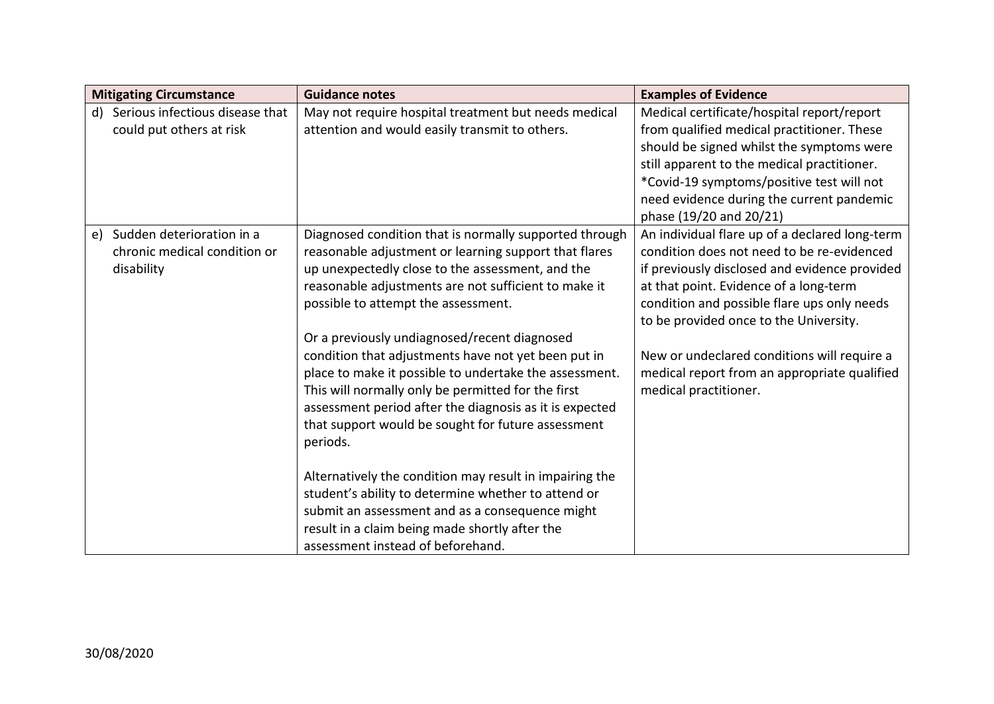| <b>Mitigating Circumstance</b>                                                | <b>Guidance notes</b>                                                                                                                                                                                                                                                                                                                                                                                                                                                                                                                                                                                                                                                                                                                                                                                                                                                              | <b>Examples of Evidence</b>                                                                                                                                                                                                                                                                                                                                                                              |
|-------------------------------------------------------------------------------|------------------------------------------------------------------------------------------------------------------------------------------------------------------------------------------------------------------------------------------------------------------------------------------------------------------------------------------------------------------------------------------------------------------------------------------------------------------------------------------------------------------------------------------------------------------------------------------------------------------------------------------------------------------------------------------------------------------------------------------------------------------------------------------------------------------------------------------------------------------------------------|----------------------------------------------------------------------------------------------------------------------------------------------------------------------------------------------------------------------------------------------------------------------------------------------------------------------------------------------------------------------------------------------------------|
| Serious infectious disease that<br>d)<br>could put others at risk             | May not require hospital treatment but needs medical<br>attention and would easily transmit to others.                                                                                                                                                                                                                                                                                                                                                                                                                                                                                                                                                                                                                                                                                                                                                                             | Medical certificate/hospital report/report<br>from qualified medical practitioner. These<br>should be signed whilst the symptoms were<br>still apparent to the medical practitioner.<br>*Covid-19 symptoms/positive test will not<br>need evidence during the current pandemic<br>phase (19/20 and 20/21)                                                                                                |
| Sudden deterioration in a<br>e)<br>chronic medical condition or<br>disability | Diagnosed condition that is normally supported through<br>reasonable adjustment or learning support that flares<br>up unexpectedly close to the assessment, and the<br>reasonable adjustments are not sufficient to make it<br>possible to attempt the assessment.<br>Or a previously undiagnosed/recent diagnosed<br>condition that adjustments have not yet been put in<br>place to make it possible to undertake the assessment.<br>This will normally only be permitted for the first<br>assessment period after the diagnosis as it is expected<br>that support would be sought for future assessment<br>periods.<br>Alternatively the condition may result in impairing the<br>student's ability to determine whether to attend or<br>submit an assessment and as a consequence might<br>result in a claim being made shortly after the<br>assessment instead of beforehand. | An individual flare up of a declared long-term<br>condition does not need to be re-evidenced<br>if previously disclosed and evidence provided<br>at that point. Evidence of a long-term<br>condition and possible flare ups only needs<br>to be provided once to the University.<br>New or undeclared conditions will require a<br>medical report from an appropriate qualified<br>medical practitioner. |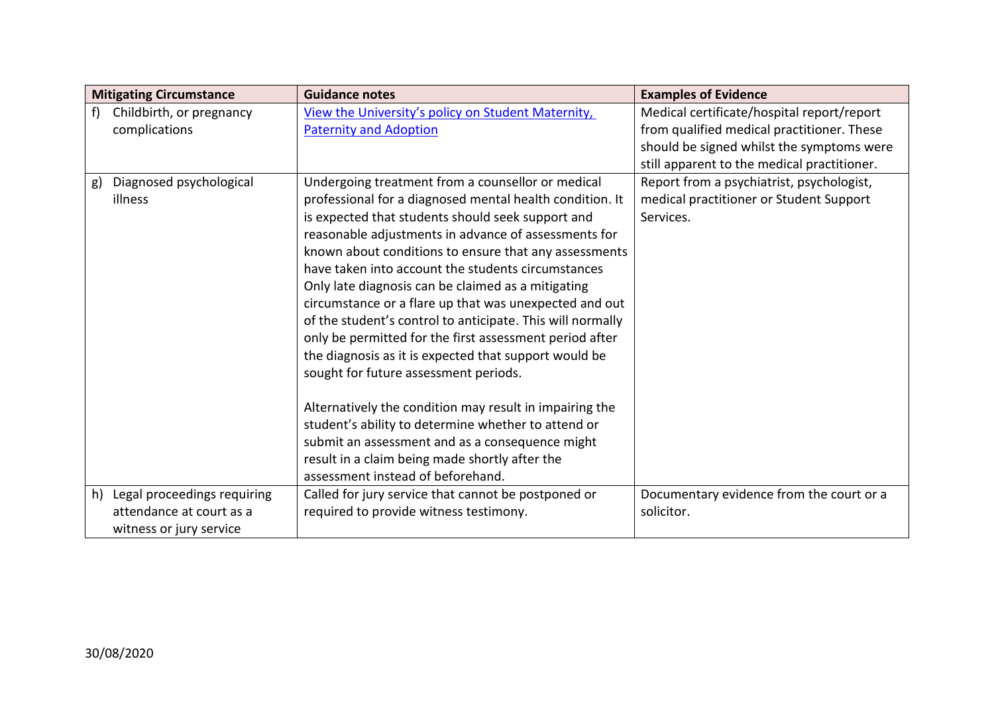| <b>Mitigating Circumstance</b>    | <b>Guidance notes</b>                                      | <b>Examples of Evidence</b>                 |
|-----------------------------------|------------------------------------------------------------|---------------------------------------------|
| Childbirth, or pregnancy<br>f     | View the University's policy on Student Maternity,         | Medical certificate/hospital report/report  |
| complications                     | <b>Paternity and Adoption</b>                              | from qualified medical practitioner. These  |
|                                   |                                                            | should be signed whilst the symptoms were   |
|                                   |                                                            | still apparent to the medical practitioner. |
| Diagnosed psychological<br>g)     | Undergoing treatment from a counsellor or medical          | Report from a psychiatrist, psychologist,   |
| illness                           | professional for a diagnosed mental health condition. It   | medical practitioner or Student Support     |
|                                   | is expected that students should seek support and          | Services.                                   |
|                                   | reasonable adjustments in advance of assessments for       |                                             |
|                                   | known about conditions to ensure that any assessments      |                                             |
|                                   | have taken into account the students circumstances         |                                             |
|                                   | Only late diagnosis can be claimed as a mitigating         |                                             |
|                                   | circumstance or a flare up that was unexpected and out     |                                             |
|                                   | of the student's control to anticipate. This will normally |                                             |
|                                   | only be permitted for the first assessment period after    |                                             |
|                                   | the diagnosis as it is expected that support would be      |                                             |
|                                   | sought for future assessment periods.                      |                                             |
|                                   |                                                            |                                             |
|                                   | Alternatively the condition may result in impairing the    |                                             |
|                                   | student's ability to determine whether to attend or        |                                             |
|                                   | submit an assessment and as a consequence might            |                                             |
|                                   | result in a claim being made shortly after the             |                                             |
|                                   | assessment instead of beforehand.                          |                                             |
| Legal proceedings requiring<br>h) | Called for jury service that cannot be postponed or        | Documentary evidence from the court or a    |
| attendance at court as a          | required to provide witness testimony.                     | solicitor.                                  |
| witness or jury service           |                                                            |                                             |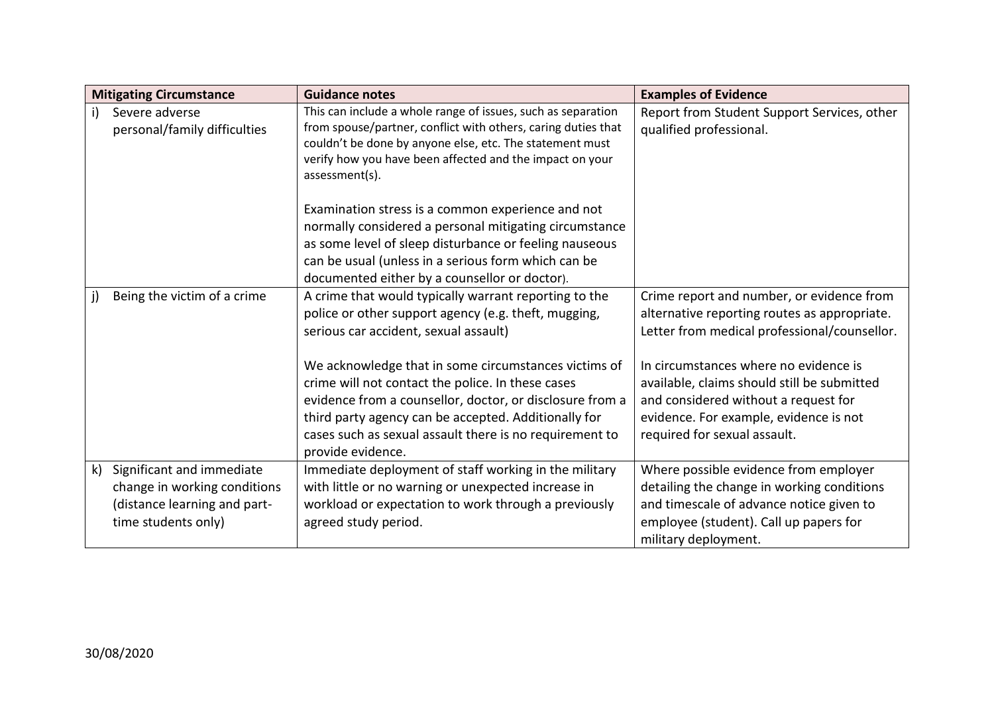|              | <b>Mitigating Circumstance</b>                                                                                   | <b>Guidance notes</b>                                                                                                                                                                                                                                                                                                                                                                   | <b>Examples of Evidence</b>                                                                                                                                                                                                                                                                                         |
|--------------|------------------------------------------------------------------------------------------------------------------|-----------------------------------------------------------------------------------------------------------------------------------------------------------------------------------------------------------------------------------------------------------------------------------------------------------------------------------------------------------------------------------------|---------------------------------------------------------------------------------------------------------------------------------------------------------------------------------------------------------------------------------------------------------------------------------------------------------------------|
| $\mathsf{i}$ | Severe adverse<br>personal/family difficulties                                                                   | This can include a whole range of issues, such as separation<br>from spouse/partner, conflict with others, caring duties that<br>couldn't be done by anyone else, etc. The statement must<br>verify how you have been affected and the impact on your<br>assessment(s).                                                                                                                 | Report from Student Support Services, other<br>qualified professional.                                                                                                                                                                                                                                              |
|              |                                                                                                                  | Examination stress is a common experience and not<br>normally considered a personal mitigating circumstance<br>as some level of sleep disturbance or feeling nauseous<br>can be usual (unless in a serious form which can be<br>documented either by a counsellor or doctor).                                                                                                           |                                                                                                                                                                                                                                                                                                                     |
| j)           | Being the victim of a crime                                                                                      | A crime that would typically warrant reporting to the<br>police or other support agency (e.g. theft, mugging,<br>serious car accident, sexual assault)<br>We acknowledge that in some circumstances victims of<br>crime will not contact the police. In these cases<br>evidence from a counsellor, doctor, or disclosure from a<br>third party agency can be accepted. Additionally for | Crime report and number, or evidence from<br>alternative reporting routes as appropriate.<br>Letter from medical professional/counsellor.<br>In circumstances where no evidence is<br>available, claims should still be submitted<br>and considered without a request for<br>evidence. For example, evidence is not |
|              |                                                                                                                  | cases such as sexual assault there is no requirement to<br>provide evidence.                                                                                                                                                                                                                                                                                                            | required for sexual assault.                                                                                                                                                                                                                                                                                        |
| $\mathsf{k}$ | Significant and immediate<br>change in working conditions<br>(distance learning and part-<br>time students only) | Immediate deployment of staff working in the military<br>with little or no warning or unexpected increase in<br>workload or expectation to work through a previously<br>agreed study period.                                                                                                                                                                                            | Where possible evidence from employer<br>detailing the change in working conditions<br>and timescale of advance notice given to<br>employee (student). Call up papers for<br>military deployment.                                                                                                                   |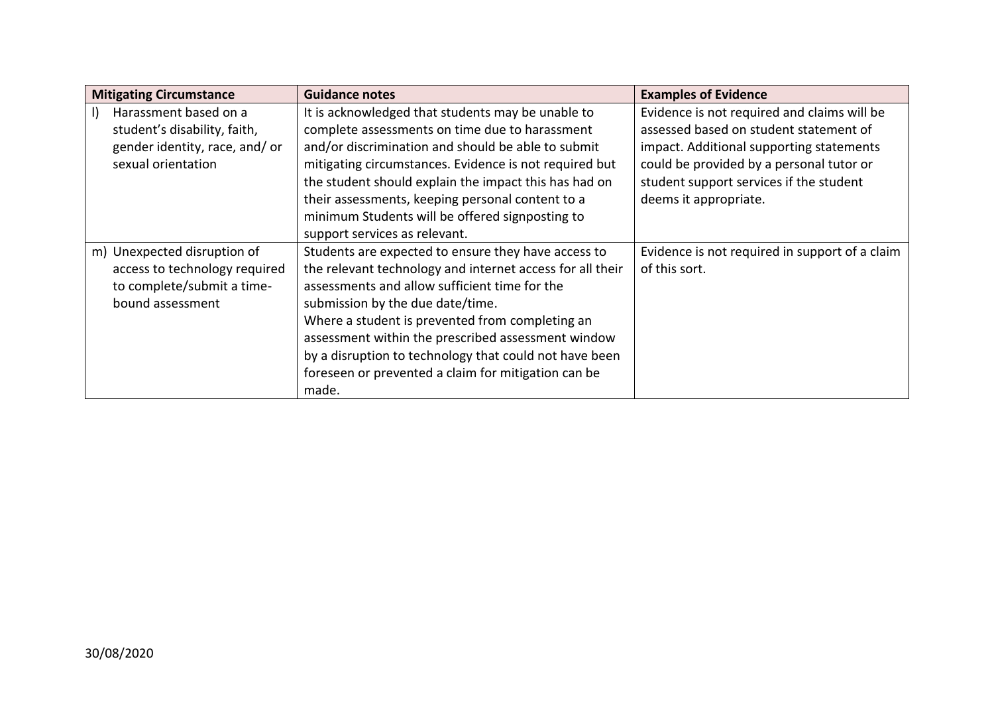| <b>Mitigating Circumstance</b>                                                                                 | <b>Guidance notes</b>                                                                                                                                                                                                                                                                                                                                                                                                                    | <b>Examples of Evidence</b>                                                                                                                                                                                                                       |  |
|----------------------------------------------------------------------------------------------------------------|------------------------------------------------------------------------------------------------------------------------------------------------------------------------------------------------------------------------------------------------------------------------------------------------------------------------------------------------------------------------------------------------------------------------------------------|---------------------------------------------------------------------------------------------------------------------------------------------------------------------------------------------------------------------------------------------------|--|
| Harassment based on a<br>student's disability, faith,<br>gender identity, race, and/or<br>sexual orientation   | It is acknowledged that students may be unable to<br>complete assessments on time due to harassment<br>and/or discrimination and should be able to submit<br>mitigating circumstances. Evidence is not required but<br>the student should explain the impact this has had on<br>their assessments, keeping personal content to a<br>minimum Students will be offered signposting to<br>support services as relevant.                     | Evidence is not required and claims will be<br>assessed based on student statement of<br>impact. Additional supporting statements<br>could be provided by a personal tutor or<br>student support services if the student<br>deems it appropriate. |  |
| m) Unexpected disruption of<br>access to technology required<br>to complete/submit a time-<br>bound assessment | Students are expected to ensure they have access to<br>the relevant technology and internet access for all their<br>assessments and allow sufficient time for the<br>submission by the due date/time.<br>Where a student is prevented from completing an<br>assessment within the prescribed assessment window<br>by a disruption to technology that could not have been<br>foreseen or prevented a claim for mitigation can be<br>made. | Evidence is not required in support of a claim<br>of this sort.                                                                                                                                                                                   |  |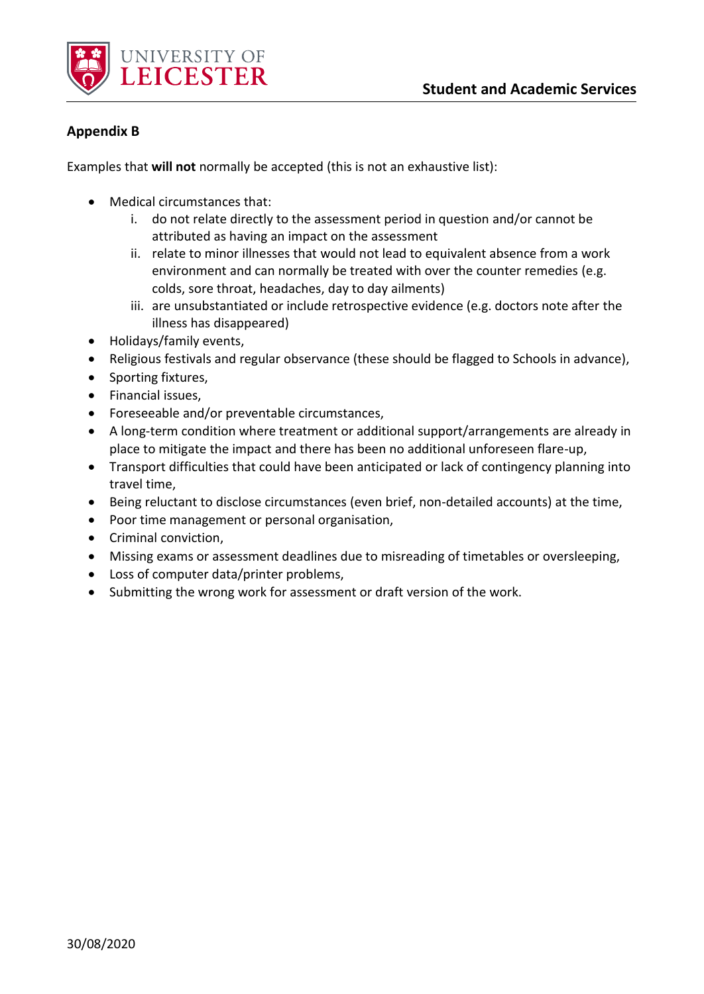

#### **Appendix B**

Examples that **will not** normally be accepted (this is not an exhaustive list):

- Medical circumstances that:
	- i. do not relate directly to the assessment period in question and/or cannot be attributed as having an impact on the assessment
	- ii. relate to minor illnesses that would not lead to equivalent absence from a work environment and can normally be treated with over the counter remedies (e.g. colds, sore throat, headaches, day to day ailments)
	- iii. are unsubstantiated or include retrospective evidence (e.g. doctors note after the illness has disappeared)
- Holidays/family events,
- Religious festivals and regular observance (these should be flagged to Schools in advance),
- Sporting fixtures,
- Financial issues,
- Foreseeable and/or preventable circumstances,
- A long-term condition where treatment or additional support/arrangements are already in place to mitigate the impact and there has been no additional unforeseen flare-up,
- Transport difficulties that could have been anticipated or lack of contingency planning into travel time,
- Being reluctant to disclose circumstances (even brief, non-detailed accounts) at the time,
- Poor time management or personal organisation,
- Criminal conviction,
- Missing exams or assessment deadlines due to misreading of timetables or oversleeping,
- Loss of computer data/printer problems,
- Submitting the wrong work for assessment or draft version of the work.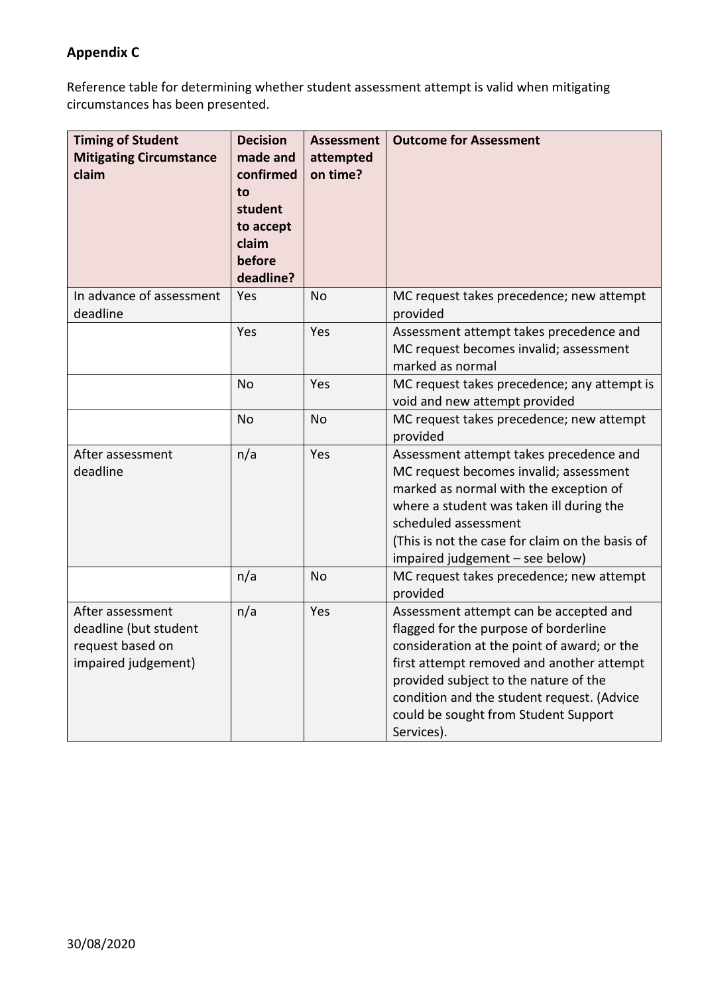## **Appendix C**

Reference table for determining whether student assessment attempt is valid when mitigating circumstances has been presented.

| <b>Timing of Student</b><br><b>Mitigating Circumstance</b><br>claim                  | <b>Decision</b><br>made and<br>confirmed<br>to<br>student<br>to accept<br>claim<br>before<br>deadline? | <b>Assessment</b><br>attempted<br>on time? | <b>Outcome for Assessment</b>                                                                                                                                                                                                                                                                                            |
|--------------------------------------------------------------------------------------|--------------------------------------------------------------------------------------------------------|--------------------------------------------|--------------------------------------------------------------------------------------------------------------------------------------------------------------------------------------------------------------------------------------------------------------------------------------------------------------------------|
| In advance of assessment<br>deadline                                                 | Yes                                                                                                    | <b>No</b>                                  | MC request takes precedence; new attempt<br>provided                                                                                                                                                                                                                                                                     |
|                                                                                      | Yes                                                                                                    | Yes                                        | Assessment attempt takes precedence and<br>MC request becomes invalid; assessment<br>marked as normal                                                                                                                                                                                                                    |
|                                                                                      | <b>No</b>                                                                                              | Yes                                        | MC request takes precedence; any attempt is<br>void and new attempt provided                                                                                                                                                                                                                                             |
|                                                                                      | <b>No</b>                                                                                              | <b>No</b>                                  | MC request takes precedence; new attempt<br>provided                                                                                                                                                                                                                                                                     |
| After assessment<br>deadline                                                         | n/a                                                                                                    | Yes                                        | Assessment attempt takes precedence and<br>MC request becomes invalid; assessment<br>marked as normal with the exception of<br>where a student was taken ill during the<br>scheduled assessment<br>(This is not the case for claim on the basis of<br>impaired judgement - see below)                                    |
|                                                                                      | n/a                                                                                                    | <b>No</b>                                  | MC request takes precedence; new attempt<br>provided                                                                                                                                                                                                                                                                     |
| After assessment<br>deadline (but student<br>request based on<br>impaired judgement) | n/a                                                                                                    | Yes                                        | Assessment attempt can be accepted and<br>flagged for the purpose of borderline<br>consideration at the point of award; or the<br>first attempt removed and another attempt<br>provided subject to the nature of the<br>condition and the student request. (Advice<br>could be sought from Student Support<br>Services). |